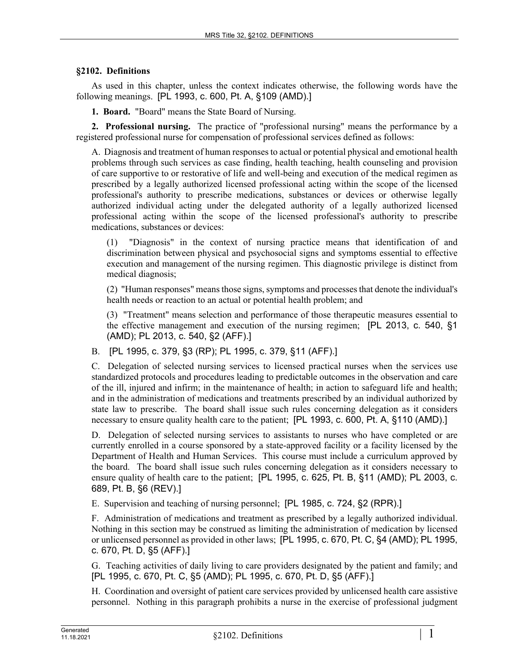## **§2102. Definitions**

As used in this chapter, unless the context indicates otherwise, the following words have the following meanings. [PL 1993, c. 600, Pt. A, §109 (AMD).]

**1. Board.** "Board" means the State Board of Nursing.

**2. Professional nursing.** The practice of "professional nursing" means the performance by a registered professional nurse for compensation of professional services defined as follows:

A. Diagnosis and treatment of human responses to actual or potential physical and emotional health problems through such services as case finding, health teaching, health counseling and provision of care supportive to or restorative of life and well-being and execution of the medical regimen as prescribed by a legally authorized licensed professional acting within the scope of the licensed professional's authority to prescribe medications, substances or devices or otherwise legally authorized individual acting under the delegated authority of a legally authorized licensed professional acting within the scope of the licensed professional's authority to prescribe medications, substances or devices:

(1) "Diagnosis" in the context of nursing practice means that identification of and discrimination between physical and psychosocial signs and symptoms essential to effective execution and management of the nursing regimen. This diagnostic privilege is distinct from medical diagnosis;

(2) "Human responses" means those signs, symptoms and processes that denote the individual's health needs or reaction to an actual or potential health problem; and

(3) "Treatment" means selection and performance of those therapeutic measures essential to the effective management and execution of the nursing regimen; [PL 2013, c. 540, §1 (AMD); PL 2013, c. 540, §2 (AFF).]

B. [PL 1995, c. 379, §3 (RP); PL 1995, c. 379, §11 (AFF).]

C. Delegation of selected nursing services to licensed practical nurses when the services use standardized protocols and procedures leading to predictable outcomes in the observation and care of the ill, injured and infirm; in the maintenance of health; in action to safeguard life and health; and in the administration of medications and treatments prescribed by an individual authorized by state law to prescribe. The board shall issue such rules concerning delegation as it considers necessary to ensure quality health care to the patient; [PL 1993, c. 600, Pt. A, §110 (AMD).]

D. Delegation of selected nursing services to assistants to nurses who have completed or are currently enrolled in a course sponsored by a state-approved facility or a facility licensed by the Department of Health and Human Services. This course must include a curriculum approved by the board. The board shall issue such rules concerning delegation as it considers necessary to ensure quality of health care to the patient; [PL 1995, c. 625, Pt. B, §11 (AMD); PL 2003, c. 689, Pt. B, §6 (REV).]

E. Supervision and teaching of nursing personnel; [PL 1985, c. 724, §2 (RPR).]

F. Administration of medications and treatment as prescribed by a legally authorized individual. Nothing in this section may be construed as limiting the administration of medication by licensed or unlicensed personnel as provided in other laws; [PL 1995, c. 670, Pt. C, §4 (AMD); PL 1995, c. 670, Pt. D, §5 (AFF).]

G. Teaching activities of daily living to care providers designated by the patient and family; and [PL 1995, c. 670, Pt. C, §5 (AMD); PL 1995, c. 670, Pt. D, §5 (AFF).]

H. Coordination and oversight of patient care services provided by unlicensed health care assistive personnel. Nothing in this paragraph prohibits a nurse in the exercise of professional judgment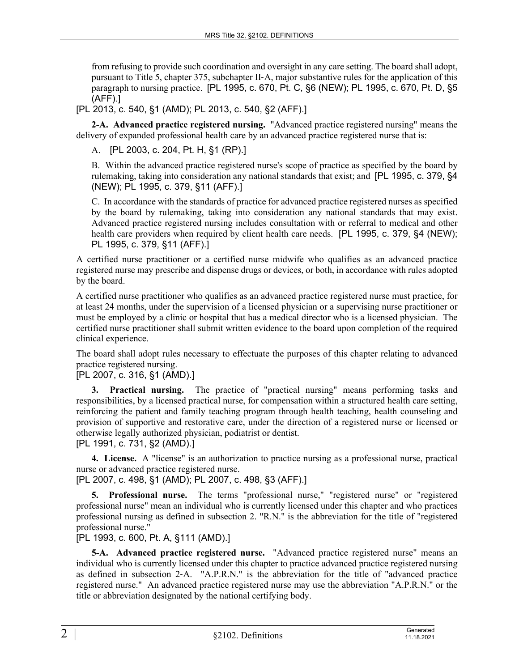from refusing to provide such coordination and oversight in any care setting. The board shall adopt, pursuant to Title 5, chapter 375, subchapter II‑A, major substantive rules for the application of this paragraph to nursing practice. [PL 1995, c. 670, Pt. C, §6 (NEW); PL 1995, c. 670, Pt. D, §5 (AFF).]

[PL 2013, c. 540, §1 (AMD); PL 2013, c. 540, §2 (AFF).]

**2-A. Advanced practice registered nursing.** "Advanced practice registered nursing" means the delivery of expanded professional health care by an advanced practice registered nurse that is:

A. [PL 2003, c. 204, Pt. H, §1 (RP).]

B. Within the advanced practice registered nurse's scope of practice as specified by the board by rulemaking, taking into consideration any national standards that exist; and [PL 1995, c. 379, §4 (NEW); PL 1995, c. 379, §11 (AFF).]

C. In accordance with the standards of practice for advanced practice registered nurses as specified by the board by rulemaking, taking into consideration any national standards that may exist. Advanced practice registered nursing includes consultation with or referral to medical and other health care providers when required by client health care needs. [PL 1995, c. 379, §4 (NEW); PL 1995, c. 379, §11 (AFF).]

A certified nurse practitioner or a certified nurse midwife who qualifies as an advanced practice registered nurse may prescribe and dispense drugs or devices, or both, in accordance with rules adopted by the board.

A certified nurse practitioner who qualifies as an advanced practice registered nurse must practice, for at least 24 months, under the supervision of a licensed physician or a supervising nurse practitioner or must be employed by a clinic or hospital that has a medical director who is a licensed physician. The certified nurse practitioner shall submit written evidence to the board upon completion of the required clinical experience.

The board shall adopt rules necessary to effectuate the purposes of this chapter relating to advanced practice registered nursing.

[PL 2007, c. 316, §1 (AMD).]

**3. Practical nursing.** The practice of "practical nursing" means performing tasks and responsibilities, by a licensed practical nurse, for compensation within a structured health care setting, reinforcing the patient and family teaching program through health teaching, health counseling and provision of supportive and restorative care, under the direction of a registered nurse or licensed or otherwise legally authorized physician, podiatrist or dentist.

[PL 1991, c. 731, §2 (AMD).]

**4. License.** A "license" is an authorization to practice nursing as a professional nurse, practical nurse or advanced practice registered nurse.

[PL 2007, c. 498, §1 (AMD); PL 2007, c. 498, §3 (AFF).]

**5. Professional nurse.** The terms "professional nurse," "registered nurse" or "registered professional nurse" mean an individual who is currently licensed under this chapter and who practices professional nursing as defined in subsection 2. "R.N." is the abbreviation for the title of "registered professional nurse."

[PL 1993, c. 600, Pt. A, §111 (AMD).]

**5-A. Advanced practice registered nurse.** "Advanced practice registered nurse" means an individual who is currently licensed under this chapter to practice advanced practice registered nursing as defined in subsection 2‑A. "A.P.R.N." is the abbreviation for the title of "advanced practice registered nurse." An advanced practice registered nurse may use the abbreviation "A.P.R.N." or the title or abbreviation designated by the national certifying body.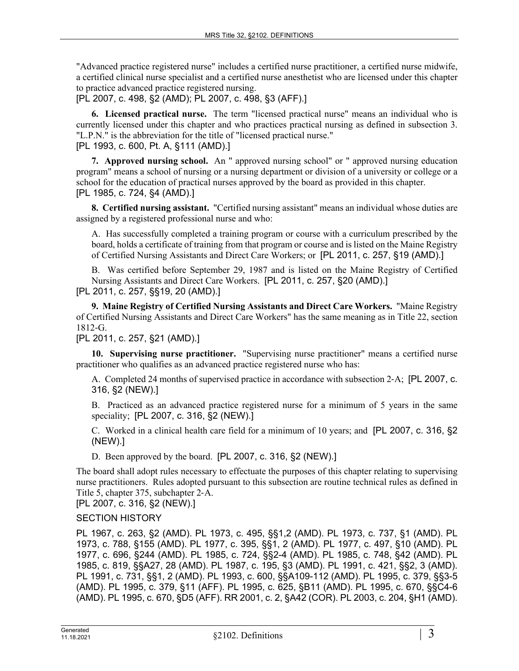"Advanced practice registered nurse" includes a certified nurse practitioner, a certified nurse midwife, a certified clinical nurse specialist and a certified nurse anesthetist who are licensed under this chapter to practice advanced practice registered nursing.

[PL 2007, c. 498, §2 (AMD); PL 2007, c. 498, §3 (AFF).]

**6. Licensed practical nurse.** The term "licensed practical nurse" means an individual who is currently licensed under this chapter and who practices practical nursing as defined in subsection 3. "L.P.N." is the abbreviation for the title of "licensed practical nurse." [PL 1993, c. 600, Pt. A, §111 (AMD).]

**7. Approved nursing school.** An " approved nursing school" or " approved nursing education program" means a school of nursing or a nursing department or division of a university or college or a school for the education of practical nurses approved by the board as provided in this chapter. [PL 1985, c. 724, §4 (AMD).]

**8. Certified nursing assistant.** "Certified nursing assistant" means an individual whose duties are assigned by a registered professional nurse and who:

A. Has successfully completed a training program or course with a curriculum prescribed by the board, holds a certificate of training from that program or course and is listed on the Maine Registry of Certified Nursing Assistants and Direct Care Workers; or [PL 2011, c. 257, §19 (AMD).]

B. Was certified before September 29, 1987 and is listed on the Maine Registry of Certified Nursing Assistants and Direct Care Workers. [PL 2011, c. 257, §20 (AMD).]

[PL 2011, c. 257, §§19, 20 (AMD).]

**9. Maine Registry of Certified Nursing Assistants and Direct Care Workers.** "Maine Registry of Certified Nursing Assistants and Direct Care Workers" has the same meaning as in Title 22, section 1812‑G.

[PL 2011, c. 257, §21 (AMD).]

**10. Supervising nurse practitioner.** "Supervising nurse practitioner" means a certified nurse practitioner who qualifies as an advanced practice registered nurse who has:

A. Completed 24 months of supervised practice in accordance with subsection 2‑A; [PL 2007, c. 316, §2 (NEW).]

B. Practiced as an advanced practice registered nurse for a minimum of 5 years in the same speciality; [PL 2007, c. 316, §2 (NEW).]

C. Worked in a clinical health care field for a minimum of 10 years; and [PL 2007, c. 316, §2 (NEW).]

D. Been approved by the board. [PL 2007, c. 316, §2 (NEW).]

The board shall adopt rules necessary to effectuate the purposes of this chapter relating to supervising nurse practitioners. Rules adopted pursuant to this subsection are routine technical rules as defined in Title 5, chapter 375, subchapter 2‑A.

[PL 2007, c. 316, §2 (NEW).]

## SECTION HISTORY

PL 1967, c. 263, §2 (AMD). PL 1973, c. 495, §§1,2 (AMD). PL 1973, c. 737, §1 (AMD). PL 1973, c. 788, §155 (AMD). PL 1977, c. 395, §§1, 2 (AMD). PL 1977, c. 497, §10 (AMD). PL 1977, c. 696, §244 (AMD). PL 1985, c. 724, §§2-4 (AMD). PL 1985, c. 748, §42 (AMD). PL 1985, c. 819, §§A27, 28 (AMD). PL 1987, c. 195, §3 (AMD). PL 1991, c. 421, §§2, 3 (AMD). PL 1991, c. 731, §§1, 2 (AMD). PL 1993, c. 600, §§A109-112 (AMD). PL 1995, c. 379, §§3-5 (AMD). PL 1995, c. 379, §11 (AFF). PL 1995, c. 625, §B11 (AMD). PL 1995, c. 670, §§C4-6 (AMD). PL 1995, c. 670, §D5 (AFF). RR 2001, c. 2, §A42 (COR). PL 2003, c. 204, §H1 (AMD).